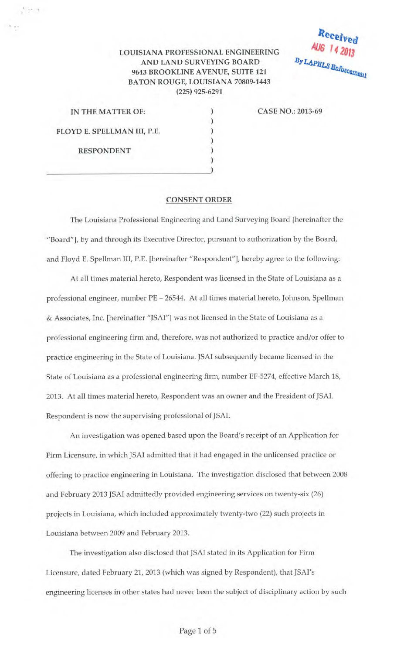## LOUISIANA PROFESSIONAL ENGINEERING AND LAND SURVEYING BOARD 9643 BROOKLINE A VENUE, SUITE 121 BATON ROUGE, LOUISIANA 70809-1443 (225) 925-6291

) ) ) ) ) )

| IN THE MATTER OF:           |  |
|-----------------------------|--|
| FLOYD E. SPELLMAN III, P.E. |  |
| <b>RESPONDENT</b>           |  |
|                             |  |

 $\sim$  .

CASE NO.: 2013-69

Received

AUG 14 2013

By LAPELS Enforcement

## CONSENT ORDER

The Louisiana Professional Engineering and Land Surveying Board [hereinafter the "Board"], by and through its Executive Director, pursuant to authorization by the Board, and Floyd E. Spellman III, P.E. [hereinafter "Respondent''], hereby agree to the following:

At all times material hereto, Respondent was licensed in the State of Louisiana as a professional engineer, number PE - 26544. At all times material hereto, Johnson, Spellman & Associates, Inc. [hereinafter "JSAI"] was not licensed in the State of Louisiana as a professional engineering firm and, therefore, was not authorized to practice and/or offer to practice engineering in the State of Louisiana. JSAI subsequently became licensed in the State of Louisiana as a professional engineering firm, number EF-5274, effective March 18, 2013. At all times material hereto, Respondent was an owner and the President of JSAI. Respondent is now the supervising professional of JSAI.

An investigation was opened based upon the Board's receipt of an Application for Firm Licensure, in which JSAI admitted that it had engaged in the unlicensed practice or offering to practice engineering in Louisiana. The investigation disclosed that between 2008 and February 2013 JSAI admittedly provided engineering services on twenty-six (26) projects in Louisiana, which included approximately twenty-two (22) such projects in Louisiana between 2009 and February 2013.

The investigation also disclosed that JSAI stated in its Application for Firm Licensure, dated February 21, 2013 (which was signed by Respondent), that JSAI's engineering licenses in other states had never been the subject of disciplinary action by such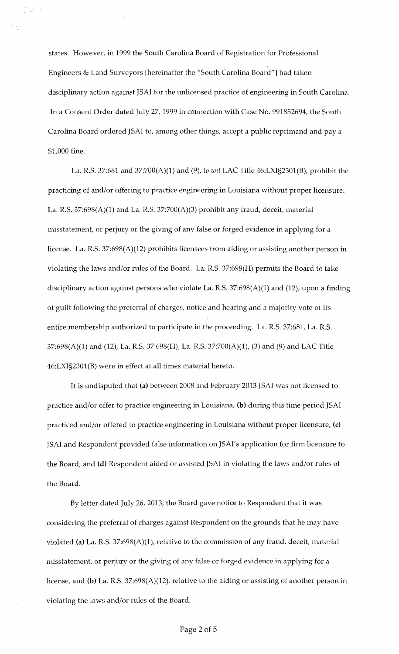states. However, in 1999 the South Carolina Board of Registration for Professional Engineers & Land Surveyors [hereinafter the "South Carolina Board"] had taken disciplinary action against JSAI for the unlicensed practice of engineering in South Carolina. In a Consent Order dated July 27, 1999 in connection with Case No. 991852694, the South Carolina Board ordered JSAI to, among other things, accept a public reprimand and pay a \$1,000 fine.

 $\mathbb{C}^{k}$ 

La. R.S. 37:681 and 37:700(A)(1) and (9), *to wit* LAC Title 46:LXI§2301(B), prohibit the practicing of and/or offering to practice engineering in Louisiana without proper licensure. La. R.S. 37:698 $(A)(1)$  and La. R.S. 37:700 $(A)(3)$  prohibit any fraud, deceit, material misstatement, or perjury or the giving of any false or forged evidence in applying for a license. La. R.S. 37:698(A)(12) prohibits licensees from aiding or assisting another person in violating the laws and/or rules of the Board. La. R.S. 37:698(H) permits the Board to take disciplinary action against persons who violate La. R.S. 37:698(A)(1) and (12), upon a finding of guilt following the preferral of charges, notice and hearing and a majority vote of its entire membership authorized to participate in the proceeding. La. R.S. 37:681, La. R.S. 37:698(A)(1) and (12), La. R.S. 37:698(H), La. R.S. 37:700(A)(1), (3) and (9) and LAC Title 46:LXI§2301(B) were in effect at all times material hereto.

It is undisputed that (a) between 2008 and February 2013 JSAI was not licensed to practice and/or offer to practice engineering in Louisiana, (b) during this time period JSAI practiced and/or offered to practice engineering in Louisiana without proper licensure, (c) JSAI and Respondent provided false information on JSAI's application for firm licensure to the Board, and (d) Respondent aided or assisted JSAI in violating the laws and/or rules of the Board.

By letter dated July 26, 2013, the Board gave notice to Respondent that it was considering the preferral of charges against Respondent on the grounds that he may have violated (a) La. R.S. 37:698(A)(1), relative to the commission of any fraud, deceit, material misstatement, or perjury or the giving of any false or forged evidence in applying for a license, and (b) La. R.S. 37:698(A)(12), relative to the aiding or assisting of another person in violating the laws and/or rules of the Board.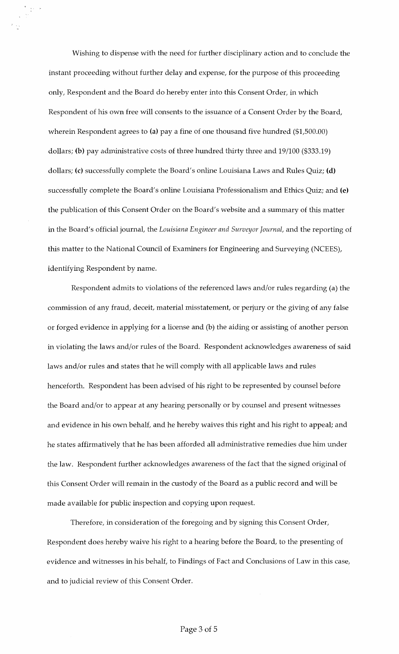Wishing to dispense with the need for further disciplinary action and to conclude the instant proceeding without further delay and expense, for the purpose of this proceeding only, Respondent and the Board do hereby enter into this Consent Order, in which Respondent of his own free will consents to the issuance of a Consent Order by the Board, wherein Respondent agrees to (a) pay a fine of one thousand five hundred (\$1,500.00) dollars; (b) pay administrative costs of three hundred thirty three and 19/100 (\$333.19) dollars; (c) successfully complete the Board's online Louisiana Laws and Rules Quiz; (d) successfully complete the Board's online Louisiana Professionalism and Ethics Quiz; and (e) the publication of this Consent Order on the Board's website and a summary of this matter in the Board's official journal, the *Louisiana Engineer and Surveyor Journal,* and the reporting of this matter to the National Council of Examiners for Engineering and Surveying (NCEES), identifying Respondent by name.

Respondent admits to violations of the referenced laws and/or rules regarding (a) the commission of any fraud, deceit, material misstatement, or perjury or the giving of any false or forged evidence in applying for a license and (b) the aiding or assisting of another person in violating the laws and/or rules of the Board. Respondent acknowledges awareness of said laws and/or rules and states that he will comply with all applicable laws and rules henceforth. Respondent has been advised of his right to be represented by counsel before the Board and/or to appear at any hearing personally or by counsel and present witnesses and evidence in his own behalf, and he hereby waives this right and his right to appeal; and he states affirmatively that he has been afforded all administrative remedies due him under the law. Respondent further acknowledges awareness of the fact that the signed original of this Consent Order will remain in the custody of the Board as a public record and will be made available for public inspection and copying upon request.

Therefore, in consideration of the foregoing and by signing this Consent Order, Respondent does hereby waive his right to a hearing before the Board, to the presenting of evidence and witnesses in his behalf, to Findings of Fact and Conclusions of Law in this case, and to judicial review of this Consent Order.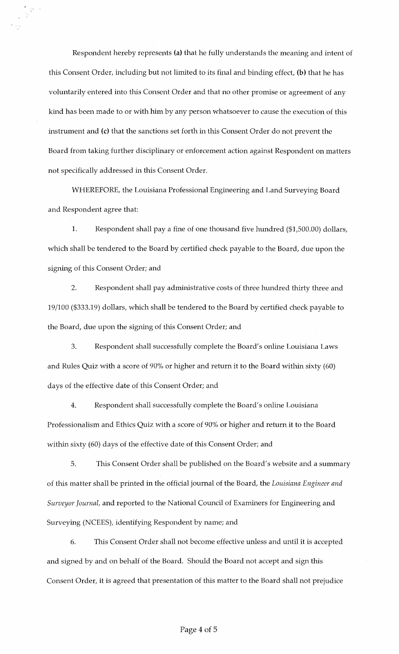Respondent hereby represents (a) that he fully understands the meaning and intent of this Consent Order, including but not limited to its final and binding effect, (b) that he has voluntarily entered into this Consent Order and that no other promise or agreement of any kind has been made to or with him by any person whatsoever to cause the execution of this instrument and (c) that the sanctions set forth in this Consent Order do not prevent the Board from taking further disciplinary or enforcement action against Respondent on matters not specifically addressed in this Consent Order.

WHEREFORE, the Louisiana Professional Engineering and Land Surveying Board and Respondent agree that:

1. Respondent shall pay a fine of one thousand five hundred (\$1,500.00) dollars, which shall be tendered to the Board by certified check payable to the Board, due upon the signing of this Consent Order; and

2. Respondent shall pay administrative costs of three hundred thirty three and 19/100 (\$333.19) dollars, which shall be tendered to the Board by certified check payable to the Board, due upon the signing of this Consent Order; and

3. Respondent shall successfully complete the Board's online Louisiana Laws and Rules Quiz with a score of 90% or higher and return it to the Board within sixty (60) days of the effective date of this Consent Order; and

4. Respondent shall successfully complete the Board's online Louisiana Professionalism and Ethics Quiz with a score of 90% or higher and return it to the Board within sixty (60) days of the effective date of this Consent Order; and

5. This Consent Order shall be published on the Board's website and a summary of this matter shall be printed in the official journal of the Board, the *Louisiana Engineer and Surveyor Journal,* and reported to the National Council of Examiners for Engineering and Surveying (NCEES), identifying Respondent by name; and

6. This Consent Order shall not become effective unless and until it is accepted and signed by and on behalf of the Board. Should the Board not accept and sign this Consent Order, it is agreed that presentation of this matter to the Board shall not prejudice